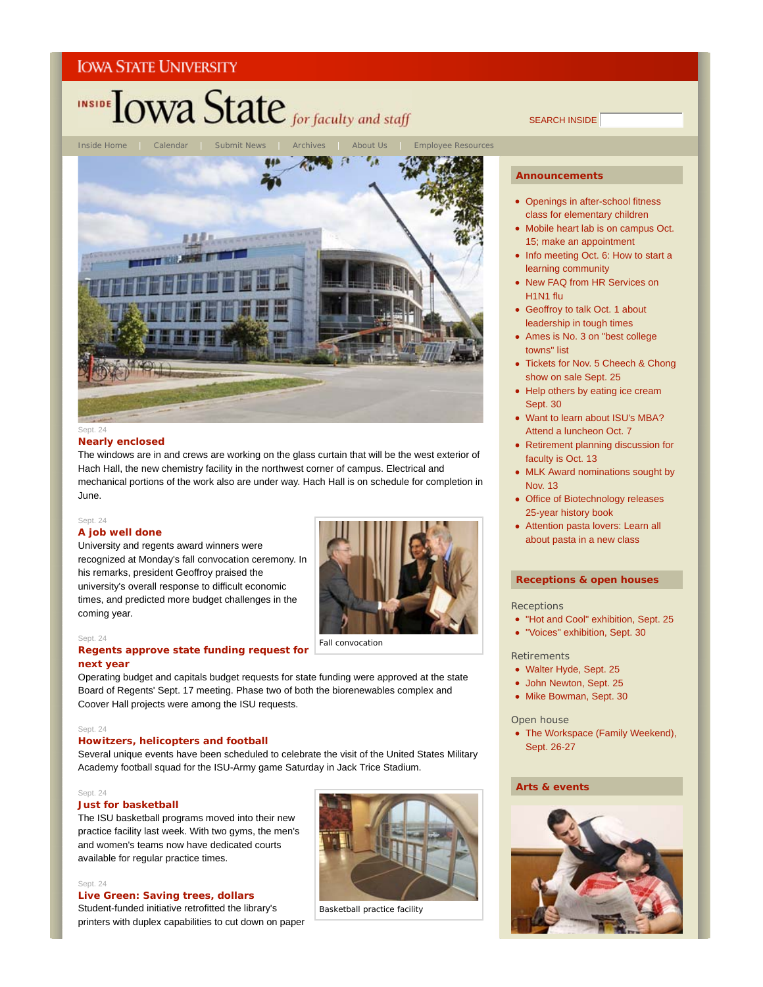

SEARCH INSIDE



# **Nearly enclosed**

# The windows are in and crews are working on the glass curtain that will be the west exterior of Hach Hall, the new chemistry facility in the northwest corner of campus. Electrical and mechanical portions of the work also are under way. Hach Hall is on schedule for completion in June.

#### Sept. 24

# **A job well done**

University and regents award winners were recognized at Monday's fall convocation ceremony. In his remarks, president Geoffroy praised the university's overall response to difficult economic times, and predicted more budget challenges in the coming year.



#### Sept. 24

# **Regents approve state funding request for next year**

Operating budget and capitals budget requests for state funding were approved at the state Board of Regents' Sept. 17 meeting. Phase two of both the biorenewables complex and Coover Hall projects were among the ISU requests.

#### Sept. 24

# **Howitzers, helicopters and football**

Several unique events have been scheduled to celebrate the visit of the United States Military Academy football squad for the ISU-Army game Saturday in Jack Trice Stadium.

#### Sept. 24

#### **Just for basketball**

The ISU basketball programs moved into their new practice facility last week. With two gyms, the men's and women's teams now have dedicated courts available for regular practice times.

#### Sept. 24

#### **Live Green: Saving trees, dollars**

Student-funded initiative retrofitted the library's printers with duplex capabilities to cut down on paper



Basketball practice facility

#### **Announcements**

- Openings in after-school fitness class for elementary children
- Mobile heart lab is on campus Oct. 15; make an appointment
- Info meeting Oct. 6: How to start a learning community
- New FAQ from HR Services on H1N1 flu
- Geoffroy to talk Oct. 1 about leadership in tough times
- Ames is No. 3 on "best college towns" list
- Tickets for Nov. 5 Cheech & Chong show on sale Sept. 25
- Help others by eating ice cream Sept. 30
- Want to learn about ISU's MBA? Attend a luncheon Oct. 7
- Retirement planning discussion for faculty is Oct. 13
- MLK Award nominations sought by Nov. 13
- Office of Biotechnology releases 25-year history book
- Attention pasta lovers: Learn all about pasta in a new class

# **Receptions & open houses**

#### **Receptions**

- "Hot and Cool" exhibition, Sept. 25
- "Voices" exhibition, Sept. 30

# Retirements

- Walter Hyde, Sept. 25
- John Newton, Sept. 25
- Mike Bowman, Sept. 30

# Open house

• The Workspace (Family Weekend), Sept. 26-27

# **Arts & events**

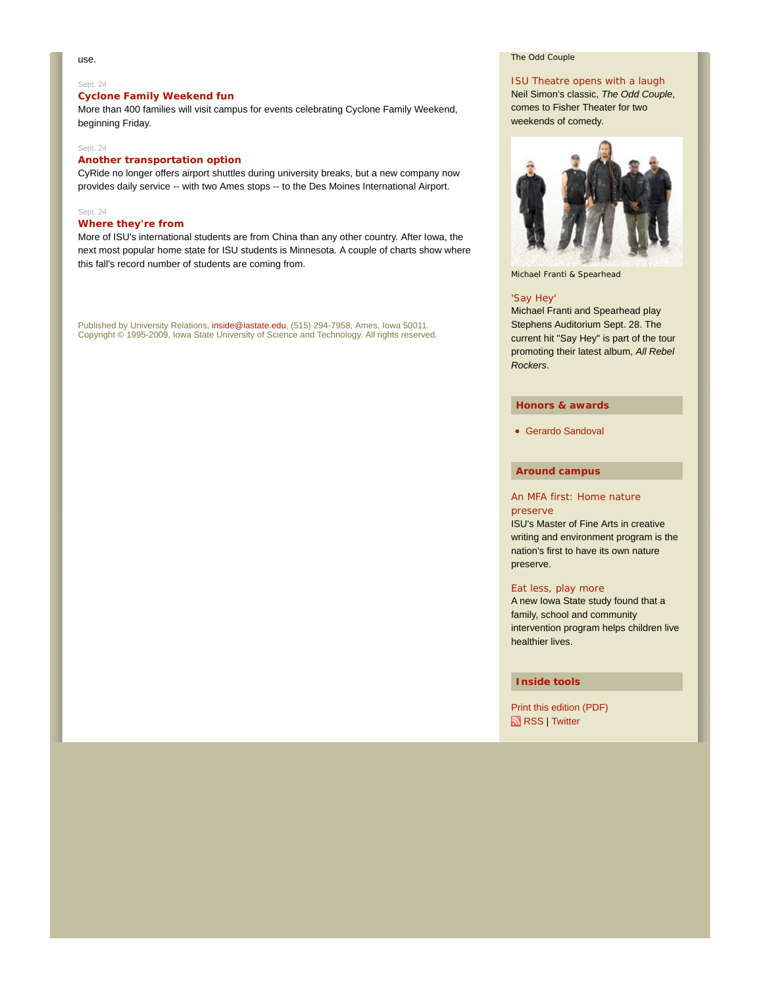#### use.

#### Sept. 24

# **Cyclone Family Weekend fun**

More than 400 families will visit campus for events celebrating Cyclone Family Weekend, beginning Friday.

#### Sept. 24

# **Another transportation option**

CyRide no longer offers airport shuttles during university breaks, but a new company now provides daily service -- with two Ames stops -- to the Des Moines International Airport.

#### Sept. 24

# **Where they're from**

More of ISU's international students are from China than any other country. After Iowa, the next most popular home state for ISU students is Minnesota. A couple of charts show where this fall's record number of students are coming from.

Published by University Relations, inside@iastate.edu, (515) 294-7958, Ames, Iowa 50011. Copyright © 1995-2009, Iowa State University of Science and Technology. All rights reserved.

#### *The Odd Couple*

## ISU Theatre opens with a laugh

Neil Simon's classic, *The Odd Couple*, comes to Fisher Theater for two weekends of comedy.



Michael Franti & Spearhead

#### 'Say Hey'

Michael Franti and Spearhead play Stephens Auditorium Sept. 28. The current hit "Say Hey" is part of the tour promoting their latest album, *All Rebel Rockers*.

# **Honors & awards**

Gerardo Sandoval

# **Around campus**

#### An MFA first: Home nature preserve

ISU's Master of Fine Arts in creative writing and environment program is the nation's first to have its own nature preserve.

#### Eat less, play more

A new Iowa State study found that a family, school and community intervention program helps children live healthier lives.

# **Inside tools**

Print this edition (PDF) RSS | Twitter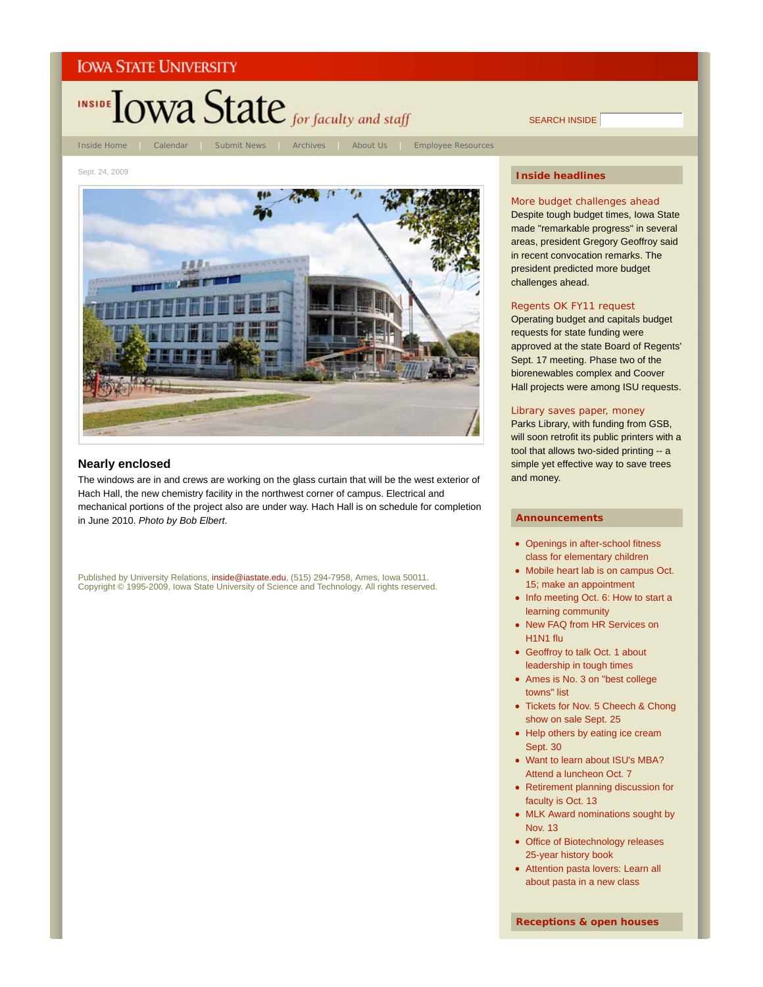

# **Nearly enclosed**

The windows are in and crews are working on the glass curtain that will be the west exterior of Hach Hall, the new chemistry facility in the northwest corner of campus. Electrical and mechanical portions of the project also are under way. Hach Hall is on schedule for completion in June 2010. *Photo by Bob Elbert*.

Published by University Relations, inside@iastate.edu, (515) 294-7958, Ames, Iowa 50011. Copyright © 1995-2009, Iowa State University of Science and Technology. All rights reserved.

#### **Inside headlines**

SEARCH INSIDE

More budget challenges ahead Despite tough budget times, Iowa State made "remarkable progress" in several areas, president Gregory Geoffroy said in recent convocation remarks. The president predicted more budget challenges ahead.

#### Regents OK FY11 request

Operating budget and capitals budget requests for state funding were approved at the state Board of Regents' Sept. 17 meeting. Phase two of the biorenewables complex and Coover Hall projects were among ISU requests.

# Library saves paper, money

Parks Library, with funding from GSB, will soon retrofit its public printers with a tool that allows two-sided printing -- a simple yet effective way to save trees and money.

#### **Announcements**

- Openings in after-school fitness class for elementary children
- Mobile heart lab is on campus Oct. 15; make an appointment
- Info meeting Oct. 6: How to start a learning community
- New FAQ from HR Services on H1N1 flu
- Geoffroy to talk Oct. 1 about leadership in tough times
- Ames is No. 3 on "best college towns" list
- Tickets for Nov. 5 Cheech & Chong show on sale Sept. 25
- Help others by eating ice cream Sept. 30
- Want to learn about ISU's MBA? Attend a luncheon Oct. 7
- Retirement planning discussion for faculty is Oct. 13
- MLK Award nominations sought by Nov. 13
- Office of Biotechnology releases 25-year history book
- Attention pasta lovers: Learn all about pasta in a new class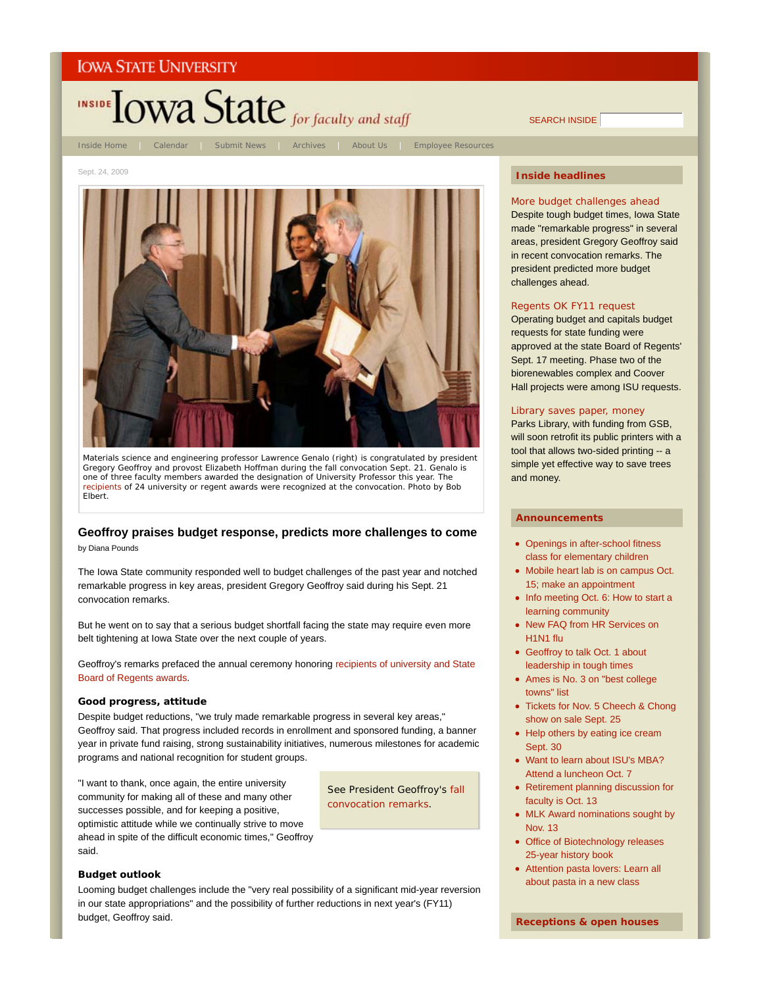

SEARCH INSIDE

Sept. 24, 2009



Materials science and engineering professor Lawrence Genalo (right) is congratulated by president Gregory Geoffroy and provost Elizabeth Hoffman during the fall convocation Sept. 21. Genalo is one of three faculty members awarded the designation of University Professor this year. The recipients of 24 university or regent awards were recognized at the convocation. *Photo by Bob Elbert*.

# **Geoffroy praises budget response, predicts more challenges to come**

by Diana Pounds

The Iowa State community responded well to budget challenges of the past year and notched remarkable progress in key areas, president Gregory Geoffroy said during his Sept. 21 convocation remarks.

But he went on to say that a serious budget shortfall facing the state may require even more belt tightening at Iowa State over the next couple of years.

Geoffroy's remarks prefaced the annual ceremony honoring recipients of university and State Board of Regents awards.

#### **Good progress, attitude**

Despite budget reductions, "we truly made remarkable progress in several key areas," Geoffroy said. That progress included records in enrollment and sponsored funding, a banner year in private fund raising, strong sustainability initiatives, numerous milestones for academic programs and national recognition for student groups.

"I want to thank, once again, the entire university community for making all of these and many other successes possible, and for keeping a positive, optimistic attitude while we continually strive to move ahead in spite of the difficult economic times," Geoffroy said.

See President Geoffroy's fall convocation remarks.

# **Budget outlook**

Looming budget challenges include the "very real possibility of a significant mid-year reversion in our state appropriations" and the possibility of further reductions in next year's (FY11) budget, Geoffroy said.

# **Inside headlines**

More budget challenges ahead Despite tough budget times, Iowa State made "remarkable progress" in several areas, president Gregory Geoffroy said in recent convocation remarks. The president predicted more budget challenges ahead.

#### Regents OK FY11 request

Operating budget and capitals budget requests for state funding were approved at the state Board of Regents' Sept. 17 meeting. Phase two of the biorenewables complex and Coover Hall projects were among ISU requests.

# Library saves paper, money

Parks Library, with funding from GSB, will soon retrofit its public printers with a tool that allows two-sided printing -- a simple yet effective way to save trees and money.

- Openings in after-school fitness class for elementary children
- Mobile heart lab is on campus Oct. 15; make an appointment
- Info meeting Oct. 6: How to start a learning community
- New FAQ from HR Services on H1N1 flu
- Geoffroy to talk Oct. 1 about leadership in tough times
- Ames is No. 3 on "best college towns" list
- Tickets for Nov. 5 Cheech & Chong show on sale Sept. 25
- Help others by eating ice cream Sept. 30
- Want to learn about ISU's MBA? Attend a luncheon Oct. 7
- Retirement planning discussion for faculty is Oct. 13
- MLK Award nominations sought by Nov. 13
- Office of Biotechnology releases 25-year history book
- Attention pasta lovers: Learn all about pasta in a new class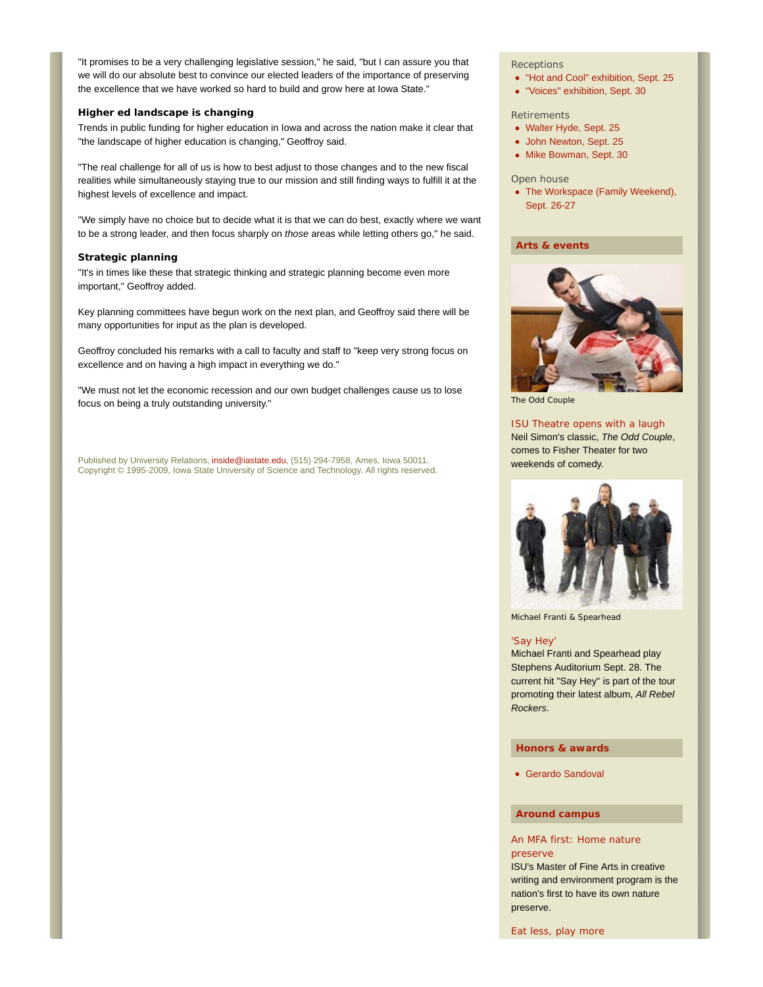"It promises to be a very challenging legislative session," he said, "but I can assure you that we will do our absolute best to convince our elected leaders of the importance of preserving the excellence that we have worked so hard to build and grow here at Iowa State."

# **Higher ed landscape is changing**

Trends in public funding for higher education in Iowa and across the nation make it clear that "the landscape of higher education is changing," Geoffroy said.

"The real challenge for all of us is how to best adjust to those changes and to the new fiscal realities while simultaneously staying true to our mission and still finding ways to fulfill it at the highest levels of excellence and impact.

"We simply have no choice but to decide what it is that we can do best, exactly where we want to be a strong leader, and then focus sharply on *those* areas while letting others go," he said.

#### **Strategic planning**

"It's in times like these that strategic thinking and strategic planning become even more important," Geoffroy added.

Key planning committees have begun work on the next plan, and Geoffroy said there will be many opportunities for input as the plan is developed.

Geoffroy concluded his remarks with a call to faculty and staff to "keep very strong focus on excellence and on having a high impact in everything we do."

"We must not let the economic recession and our own budget challenges cause us to lose focus on being a truly outstanding university."

Published by University Relations, inside@iastate.edu, (515) 294-7958, Ames, Iowa 50011. Copyright © 1995-2009, Iowa State University of Science and Technology. All rights reserved.

#### **Receptions**

- "Hot and Cool" exhibition, Sept. 25
- "Voices" exhibition, Sept. 30

#### **Retirements**

- Walter Hyde, Sept. 25
- John Newton, Sept. 25
- Mike Bowman, Sept. 30

#### Open house

• The Workspace (Family Weekend), Sept. 26-27

# **Arts & events**



*The Odd Couple*

#### ISU Theatre opens with a laugh

Neil Simon's classic, *The Odd Couple*, comes to Fisher Theater for two weekends of comedy.



Michael Franti & Spearhead

#### 'Say Hey'

Michael Franti and Spearhead play Stephens Auditorium Sept. 28. The current hit "Say Hey" is part of the tour promoting their latest album, *All Rebel Rockers*.

## **Honors & awards**

Gerardo Sandoval

### **Around campus**

# An MFA first: Home nature preserve

ISU's Master of Fine Arts in creative writing and environment program is the nation's first to have its own nature preserve.

Eat less, play more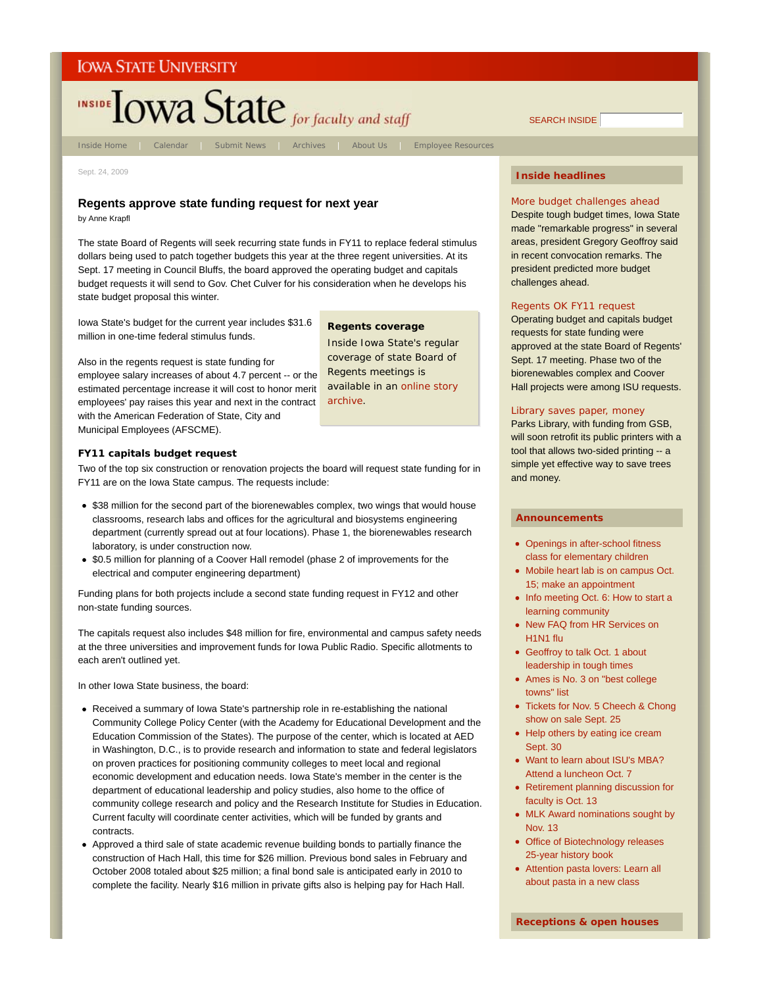# INSIDE TOWA State for faculty and staff

Inside Home | Calendar | Submit News | Archives | About Us | Employee Resources

**Regents coverage** *Inside Iowa State*'s regular coverage of state Board of Regents meetings is available in an online story

archive.

Sept. 24, 2009

# **Regents approve state funding request for next year**

by Anne Krapfl

The state Board of Regents will seek recurring state funds in FY11 to replace federal stimulus dollars being used to patch together budgets this year at the three regent universities. At its Sept. 17 meeting in Council Bluffs, the board approved the operating budget and capitals budget requests it will send to Gov. Chet Culver for his consideration when he develops his state budget proposal this winter.

Iowa State's budget for the current year includes \$31.6 million in one-time federal stimulus funds.

Also in the regents request is state funding for employee salary increases of about 4.7 percent -- or the estimated percentage increase it will cost to honor merit employees' pay raises this year and next in the contract with the American Federation of State, City and Municipal Employees (AFSCME).

# **FY11 capitals budget request**

Two of the top six construction or renovation projects the board will request state funding for in FY11 are on the Iowa State campus. The requests include:

- \$38 million for the second part of the biorenewables complex, two wings that would house classrooms, research labs and offices for the agricultural and biosystems engineering department (currently spread out at four locations). Phase 1, the biorenewables research laboratory, is under construction now.
- \$0.5 million for planning of a Coover Hall remodel (phase 2 of improvements for the electrical and computer engineering department)

Funding plans for both projects include a second state funding request in FY12 and other non-state funding sources.

The capitals request also includes \$48 million for fire, environmental and campus safety needs at the three universities and improvement funds for Iowa Public Radio. Specific allotments to each aren't outlined yet.

In other Iowa State business, the board:

- Received a summary of Iowa State's partnership role in re-establishing the national Community College Policy Center (with the Academy for Educational Development and the Education Commission of the States). The purpose of the center, which is located at AED in Washington, D.C., is to provide research and information to state and federal legislators on proven practices for positioning community colleges to meet local and regional economic development and education needs. Iowa State's member in the center is the department of educational leadership and policy studies, also home to the office of community college research and policy and the Research Institute for Studies in Education. Current faculty will coordinate center activities, which will be funded by grants and contracts.
- Approved a third sale of state academic revenue building bonds to partially finance the construction of Hach Hall, this time for \$26 million. Previous bond sales in February and October 2008 totaled about \$25 million; a final bond sale is anticipated early in 2010 to complete the facility. Nearly \$16 million in private gifts also is helping pay for Hach Hall.

# **Inside headlines**

More budget challenges ahead Despite tough budget times, Iowa State made "remarkable progress" in several areas, president Gregory Geoffroy said in recent convocation remarks. The president predicted more budget challenges ahead.

## Regents OK FY11 request

Operating budget and capitals budget requests for state funding were approved at the state Board of Regents' Sept. 17 meeting. Phase two of the biorenewables complex and Coover Hall projects were among ISU requests.

# Library saves paper, money

Parks Library, with funding from GSB, will soon retrofit its public printers with a tool that allows two-sided printing -- a simple yet effective way to save trees and money.

#### **Announcements**

- Openings in after-school fitness class for elementary children
- Mobile heart lab is on campus Oct. 15; make an appointment
- Info meeting Oct. 6: How to start a learning community
- New FAQ from HR Services on H1N1 flu
- Geoffroy to talk Oct. 1 about leadership in tough times
- Ames is No. 3 on "best college towns" list
- Tickets for Nov. 5 Cheech & Chong show on sale Sept. 25
- Help others by eating ice cream Sept. 30
- Want to learn about ISU's MBA? Attend a luncheon Oct. 7
- Retirement planning discussion for faculty is Oct. 13
- MLK Award nominations sought by Nov. 13
- Office of Biotechnology releases 25-year history book
- Attention pasta lovers: Learn all about pasta in a new class

SEARCH INSIDE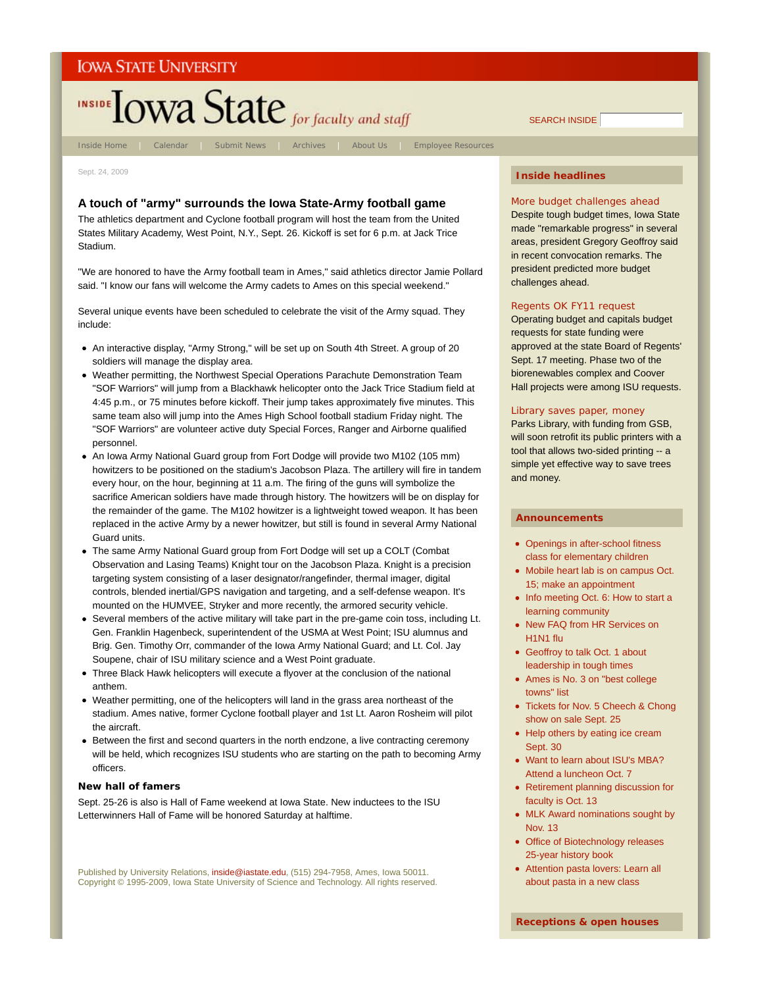

Sept. 24, 2009

# **A touch of "army" surrounds the Iowa State-Army football game**

The athletics department and Cyclone football program will host the team from the United States Military Academy, West Point, N.Y., Sept. 26. Kickoff is set for 6 p.m. at Jack Trice Stadium.

"We are honored to have the Army football team in Ames," said athletics director Jamie Pollard said. "I know our fans will welcome the Army cadets to Ames on this special weekend."

Several unique events have been scheduled to celebrate the visit of the Army squad. They include:

- An interactive display, "Army Strong," will be set up on South 4th Street. A group of 20 soldiers will manage the display area.
- Weather permitting, the Northwest Special Operations Parachute Demonstration Team "SOF Warriors" will jump from a Blackhawk helicopter onto the Jack Trice Stadium field at 4:45 p.m., or 75 minutes before kickoff. Their jump takes approximately five minutes. This same team also will jump into the Ames High School football stadium Friday night. The "SOF Warriors" are volunteer active duty Special Forces, Ranger and Airborne qualified personnel.
- An Iowa Army National Guard group from Fort Dodge will provide two M102 (105 mm) howitzers to be positioned on the stadium's Jacobson Plaza. The artillery will fire in tandem every hour, on the hour, beginning at 11 a.m. The firing of the guns will symbolize the sacrifice American soldiers have made through history. The howitzers will be on display for the remainder of the game. The M102 howitzer is a lightweight towed weapon. It has been replaced in the active Army by a newer howitzer, but still is found in several Army National Guard units.
- The same Army National Guard group from Fort Dodge will set up a COLT (Combat Observation and Lasing Teams) Knight tour on the Jacobson Plaza. Knight is a precision targeting system consisting of a laser designator/rangefinder, thermal imager, digital controls, blended inertial/GPS navigation and targeting, and a self-defense weapon. It's mounted on the HUMVEE, Stryker and more recently, the armored security vehicle.
- Several members of the active military will take part in the pre-game coin toss, including Lt. Gen. Franklin Hagenbeck, superintendent of the USMA at West Point; ISU alumnus and Brig. Gen. Timothy Orr, commander of the Iowa Army National Guard; and Lt. Col. Jay Soupene, chair of ISU military science and a West Point graduate.
- Three Black Hawk helicopters will execute a flyover at the conclusion of the national anthem.
- Weather permitting, one of the helicopters will land in the grass area northeast of the stadium. Ames native, former Cyclone football player and 1st Lt. Aaron Rosheim will pilot the aircraft.
- Between the first and second quarters in the north endzone, a live contracting ceremony will be held, which recognizes ISU students who are starting on the path to becoming Army officers.

### **New hall of famers**

Sept. 25-26 is also is Hall of Fame weekend at Iowa State. New inductees to the ISU Letterwinners Hall of Fame will be honored Saturday at halftime.

Published by University Relations, inside@iastate.edu, (515) 294-7958, Ames, Iowa 50011. Copyright © 1995-2009, Iowa State University of Science and Technology. All rights reserved.

# **Inside headlines**

SEARCH INSIDE

More budget challenges ahead Despite tough budget times, Iowa State made "remarkable progress" in several areas, president Gregory Geoffroy said in recent convocation remarks. The president predicted more budget challenges ahead.

#### Regents OK FY11 request

Operating budget and capitals budget requests for state funding were approved at the state Board of Regents' Sept. 17 meeting. Phase two of the biorenewables complex and Coover Hall projects were among ISU requests.

# Library saves paper, money

Parks Library, with funding from GSB, will soon retrofit its public printers with a tool that allows two-sided printing -- a simple yet effective way to save trees and money.

- Openings in after-school fitness class for elementary children
- Mobile heart lab is on campus Oct. 15; make an appointment
- Info meeting Oct. 6: How to start a learning community
- New FAQ from HR Services on H1N1 flu
- Geoffroy to talk Oct. 1 about leadership in tough times
- Ames is No. 3 on "best college towns" list
- Tickets for Nov. 5 Cheech & Chong show on sale Sept. 25
- Help others by eating ice cream Sept. 30
- Want to learn about ISU's MBA? Attend a luncheon Oct. 7
- Retirement planning discussion for faculty is Oct. 13
- MLK Award nominations sought by Nov. 13
- Office of Biotechnology releases 25-year history book
- Attention pasta lovers: Learn all about pasta in a new class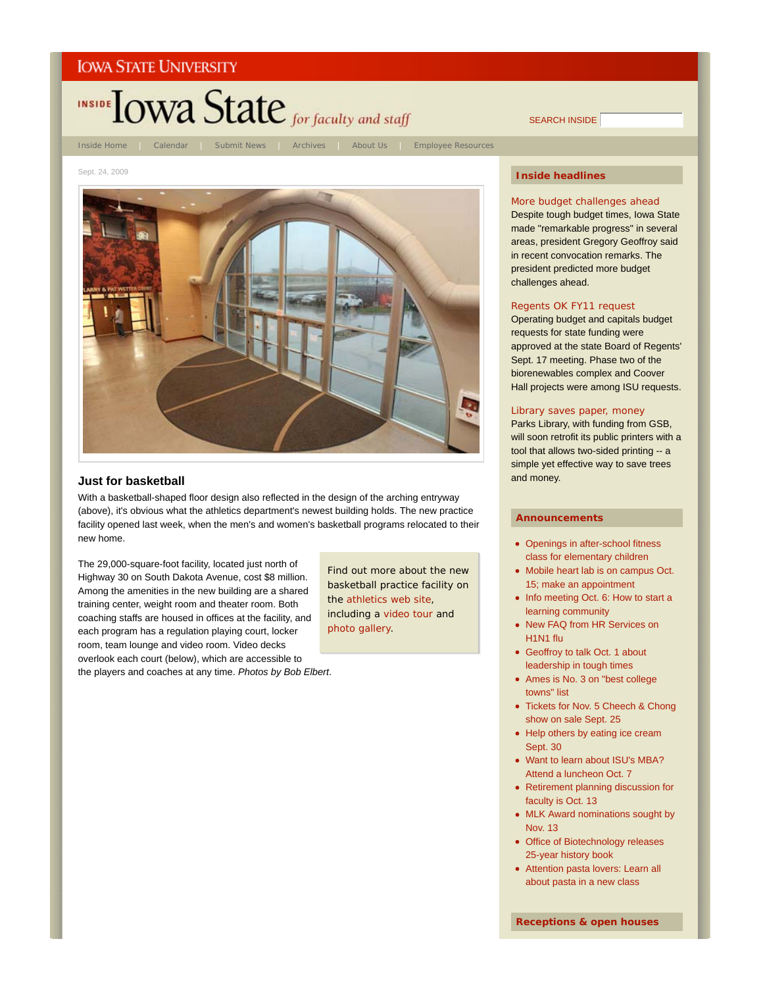

Sept. 24, 2009



# **Just for basketball**

With a basketball-shaped floor design also reflected in the design of the arching entryway (above), it's obvious what the athletics department's newest building holds. The new practice facility opened last week, when the men's and women's basketball programs relocated to their new home.

The 29,000-square-foot facility, located just north of Highway 30 on South Dakota Avenue, cost \$8 million. Among the amenities in the new building are a shared training center, weight room and theater room. Both coaching staffs are housed in offices at the facility, and each program has a regulation playing court, locker room, team lounge and video room. Video decks overlook each court (below), which are accessible to the players and coaches at any time. *Photos by Bob Elbert*.

Find out more about the new basketball practice facility on the athletics web site, including a video tour and photo gallery.

# **Inside headlines**

SEARCH INSIDE

More budget challenges ahead Despite tough budget times, Iowa State made "remarkable progress" in several areas, president Gregory Geoffroy said in recent convocation remarks. The president predicted more budget challenges ahead.

## Regents OK FY11 request

Operating budget and capitals budget requests for state funding were approved at the state Board of Regents' Sept. 17 meeting. Phase two of the biorenewables complex and Coover Hall projects were among ISU requests.

# Library saves paper, money

Parks Library, with funding from GSB, will soon retrofit its public printers with a tool that allows two-sided printing -- a simple yet effective way to save trees and money.

#### **Announcements**

- Openings in after-school fitness class for elementary children
- Mobile heart lab is on campus Oct. 15; make an appointment
- Info meeting Oct. 6: How to start a learning community
- New FAQ from HR Services on H1N1 flu
- Geoffroy to talk Oct. 1 about leadership in tough times
- Ames is No. 3 on "best college towns" list
- Tickets for Nov. 5 Cheech & Chong show on sale Sept. 25
- Help others by eating ice cream Sept. 30
- Want to learn about ISU's MBA? Attend a luncheon Oct. 7
- Retirement planning discussion for faculty is Oct. 13
- MLK Award nominations sought by Nov. 13
- Office of Biotechnology releases 25-year history book
- Attention pasta lovers: Learn all about pasta in a new class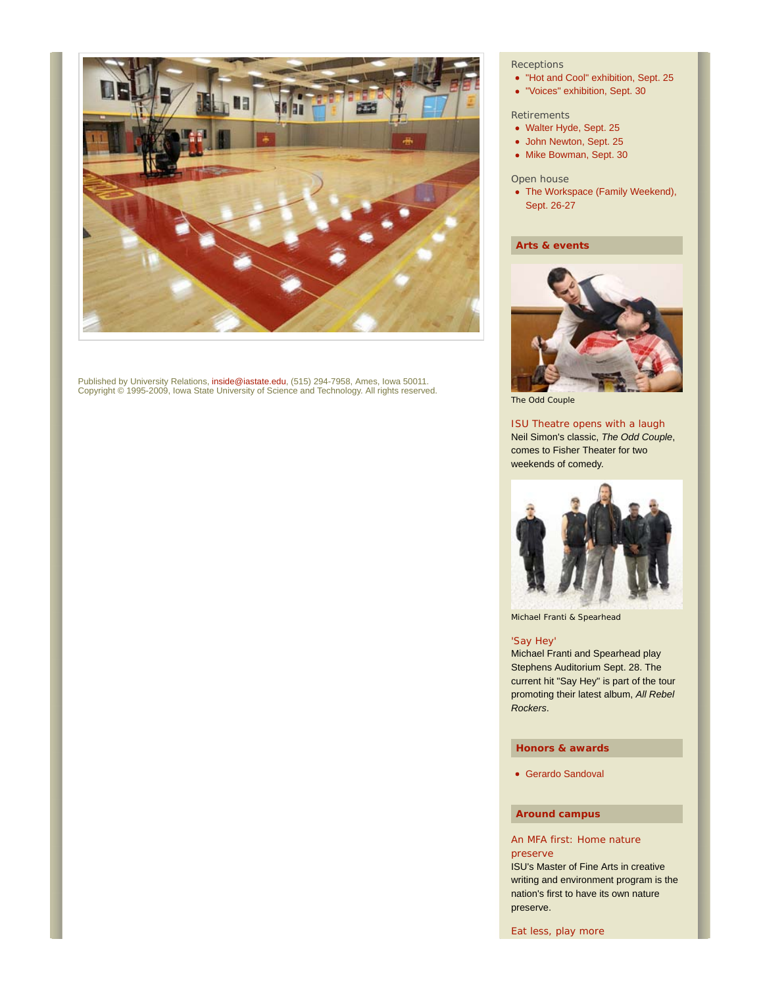

Published by University Relations, inside@iastate.edu, (515) 294-7958, Ames, Iowa 50011. Copyright © 1995-2009, Iowa State University of Science and Technology. All rights reserved.

# **Receptions**

- "Hot and Cool" exhibition, Sept. 25
- "Voices" exhibition, Sept. 30

# **Retirements**

- Walter Hyde, Sept. 25
- John Newton, Sept. 25
- Mike Bowman, Sept. 30

# Open house

• The Workspace (Family Weekend), Sept. 26-27

# **Arts & events**



*The Odd Couple*

# ISU Theatre opens with a laugh

Neil Simon's classic, *The Odd Couple*, comes to Fisher Theater for two weekends of comedy.



Michael Franti & Spearhead

# 'Say Hey'

Michael Franti and Spearhead play Stephens Auditorium Sept. 28. The current hit "Say Hey" is part of the tour promoting their latest album, *All Rebel Rockers*.

# **Honors & awards**

Gerardo Sandoval

# **Around campus**

# An MFA first: Home nature preserve

ISU's Master of Fine Arts in creative writing and environment program is the nation's first to have its own nature preserve.

Eat less, play more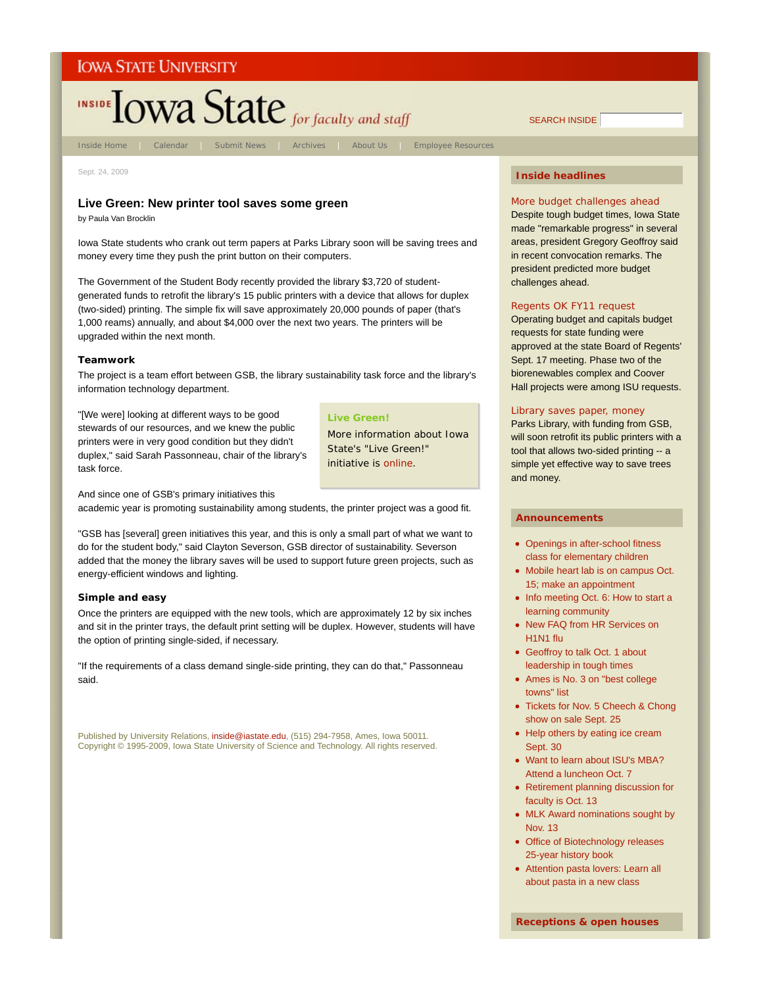

Inside Home | Calendar | Submit News | Archives | About Us | Employee Resources

Sept. 24, 2009

# **Live Green: New printer tool saves some green**

by Paula Van Brocklin

Iowa State students who crank out term papers at Parks Library soon will be saving trees and money every time they push the print button on their computers.

The Government of the Student Body recently provided the library \$3,720 of studentgenerated funds to retrofit the library's 15 public printers with a device that allows for duplex (two-sided) printing. The simple fix will save approximately 20,000 pounds of paper (that's 1,000 reams) annually, and about \$4,000 over the next two years. The printers will be upgraded within the next month.

#### **Teamwork**

The project is a team effort between GSB, the library sustainability task force and the library's information technology department.

"[We were] looking at different ways to be good stewards of our resources, and we knew the public printers were in very good condition but they didn't duplex," said Sarah Passonneau, chair of the library's task force.

#### **Live Green!**

More information about Iowa State's "Live Green!" initiative is online.

And since one of GSB's primary initiatives this

academic year is promoting sustainability among students, the printer project was a good fit.

"GSB has [several] green initiatives this year, and this is only a small part of what we want to do for the student body," said Clayton Severson, GSB director of sustainability. Severson added that the money the library saves will be used to support future green projects, such as energy-efficient windows and lighting.

#### **Simple and easy**

Once the printers are equipped with the new tools, which are approximately 12 by six inches and sit in the printer trays, the default print setting will be duplex. However, students will have the option of printing single-sided, if necessary.

"If the requirements of a class demand single-side printing, they can do that," Passonneau said.

Published by University Relations, inside@iastate.edu, (515) 294-7958, Ames, Iowa 50011. Copyright © 1995-2009, Iowa State University of Science and Technology. All rights reserved.

# **Inside headlines**

SEARCH INSIDE

More budget challenges ahead Despite tough budget times, Iowa State made "remarkable progress" in several areas, president Gregory Geoffroy said in recent convocation remarks. The president predicted more budget challenges ahead.

#### Regents OK FY11 request

Operating budget and capitals budget requests for state funding were approved at the state Board of Regents' Sept. 17 meeting. Phase two of the biorenewables complex and Coover Hall projects were among ISU requests.

# Library saves paper, money

Parks Library, with funding from GSB, will soon retrofit its public printers with a tool that allows two-sided printing -- a simple yet effective way to save trees and money.

#### **Announcements**

- Openings in after-school fitness class for elementary children
- Mobile heart lab is on campus Oct. 15; make an appointment
- Info meeting Oct. 6: How to start a learning community
- New FAQ from HR Services on H1N1 flu
- Geoffroy to talk Oct. 1 about leadership in tough times
- Ames is No. 3 on "best college towns" list
- Tickets for Nov. 5 Cheech & Chong show on sale Sept. 25
- Help others by eating ice cream Sept. 30
- Want to learn about ISU's MBA? Attend a luncheon Oct. 7
- Retirement planning discussion for faculty is Oct. 13
- MLK Award nominations sought by Nov. 13
- Office of Biotechnology releases 25-year history book
- Attention pasta lovers: Learn all about pasta in a new class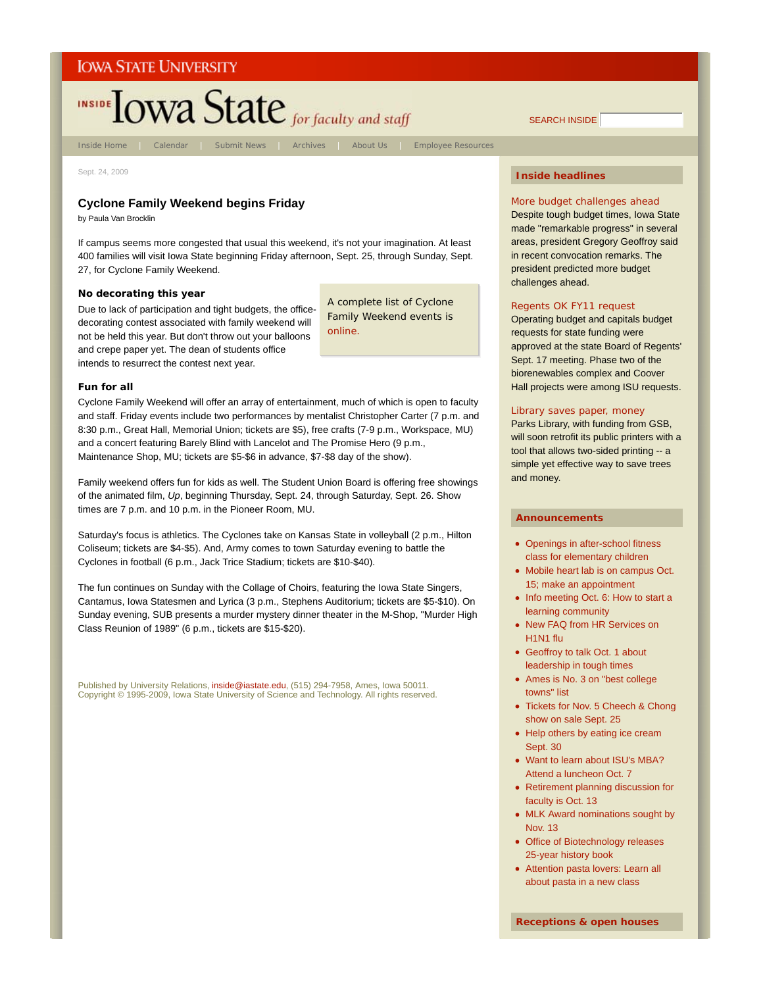# INSIDE **IOWA State** for faculty and staff

Inside Home | Calendar | Submit News | Archives | About Us | Employee Resources

Sept. 24, 2009

# **Cyclone Family Weekend begins Friday**

by Paula Van Brocklin

If campus seems more congested that usual this weekend, it's not your imagination. At least 400 families will visit Iowa State beginning Friday afternoon, Sept. 25, through Sunday, Sept. 27, for Cyclone Family Weekend.

### **No decorating this year**

Due to lack of participation and tight budgets, the officedecorating contest associated with family weekend will not be held this year. But don't throw out your balloons and crepe paper yet. The dean of students office intends to resurrect the contest next year.

A complete list of Cyclone Family Weekend events is online.

#### **Fun for all**

Cyclone Family Weekend will offer an array of entertainment, much of which is open to faculty and staff. Friday events include two performances by mentalist Christopher Carter (7 p.m. and 8:30 p.m., Great Hall, Memorial Union; tickets are \$5), free crafts (7-9 p.m., Workspace, MU) and a concert featuring Barely Blind with Lancelot and The Promise Hero (9 p.m., Maintenance Shop, MU; tickets are \$5-\$6 in advance, \$7-\$8 day of the show).

Family weekend offers fun for kids as well. The Student Union Board is offering free showings of the animated film, *Up*, beginning Thursday, Sept. 24, through Saturday, Sept. 26. Show times are 7 p.m. and 10 p.m. in the Pioneer Room, MU.

Saturday's focus is athletics. The Cyclones take on Kansas State in volleyball (2 p.m., Hilton Coliseum; tickets are \$4-\$5). And, Army comes to town Saturday evening to battle the Cyclones in football (6 p.m., Jack Trice Stadium; tickets are \$10-\$40).

The fun continues on Sunday with the Collage of Choirs, featuring the Iowa State Singers, Cantamus, Iowa Statesmen and Lyrica (3 p.m., Stephens Auditorium; tickets are \$5-\$10). On Sunday evening, SUB presents a murder mystery dinner theater in the M-Shop, "Murder High Class Reunion of 1989" (6 p.m., tickets are \$15-\$20).

Published by University Relations, inside@iastate.edu, (515) 294-7958, Ames, Iowa 50011. Copyright © 1995-2009, Iowa State University of Science and Technology. All rights reserved.

# **Inside headlines**

SEARCH INSIDE

More budget challenges ahead Despite tough budget times, Iowa State made "remarkable progress" in several areas, president Gregory Geoffroy said in recent convocation remarks. The president predicted more budget challenges ahead.

#### Regents OK FY11 request

Operating budget and capitals budget requests for state funding were approved at the state Board of Regents' Sept. 17 meeting. Phase two of the biorenewables complex and Coover Hall projects were among ISU requests.

# Library saves paper, money

Parks Library, with funding from GSB, will soon retrofit its public printers with a tool that allows two-sided printing -- a simple yet effective way to save trees and money.

#### **Announcements**

- Openings in after-school fitness class for elementary children
- Mobile heart lab is on campus Oct. 15; make an appointment
- Info meeting Oct. 6: How to start a learning community
- New FAQ from HR Services on H1N1 flu
- Geoffroy to talk Oct. 1 about leadership in tough times
- Ames is No. 3 on "best college towns" list
- Tickets for Nov. 5 Cheech & Chong show on sale Sept. 25
- Help others by eating ice cream Sept. 30
- Want to learn about ISU's MBA? Attend a luncheon Oct. 7
- Retirement planning discussion for faculty is Oct. 13
- MLK Award nominations sought by Nov. 13
- Office of Biotechnology releases 25-year history book
- Attention pasta lovers: Learn all about pasta in a new class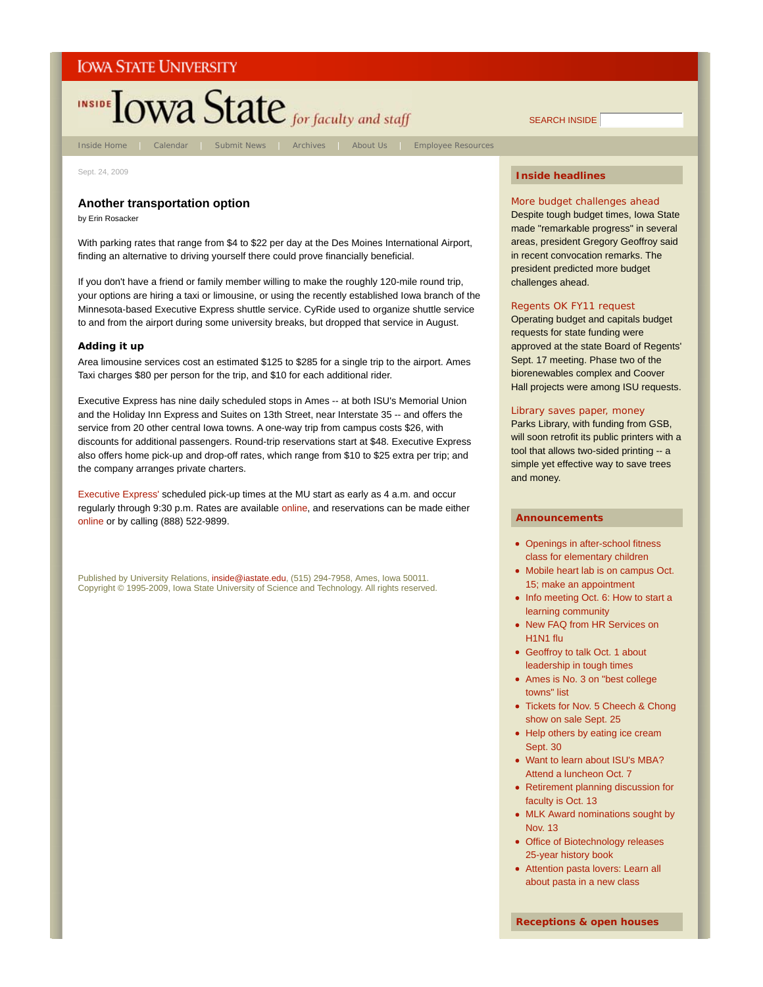

Sept. 24, 2009

# **Another transportation option**

by Erin Rosacker

With parking rates that range from \$4 to \$22 per day at the Des Moines International Airport, finding an alternative to driving yourself there could prove financially beneficial.

If you don't have a friend or family member willing to make the roughly 120-mile round trip, your options are hiring a taxi or limousine, or using the recently established Iowa branch of the Minnesota-based Executive Express shuttle service. CyRide used to organize shuttle service to and from the airport during some university breaks, but dropped that service in August.

#### **Adding it up**

Area limousine services cost an estimated \$125 to \$285 for a single trip to the airport. Ames Taxi charges \$80 per person for the trip, and \$10 for each additional rider.

Executive Express has nine daily scheduled stops in Ames -- at both ISU's Memorial Union and the Holiday Inn Express and Suites on 13th Street, near Interstate 35 -- and offers the service from 20 other central Iowa towns. A one-way trip from campus costs \$26, with discounts for additional passengers. Round-trip reservations start at \$48. Executive Express also offers home pick-up and drop-off rates, which range from \$10 to \$25 extra per trip; and the company arranges private charters.

Executive Express' scheduled pick-up times at the MU start as early as 4 a.m. and occur regularly through 9:30 p.m. Rates are available online, and reservations can be made either online or by calling (888) 522-9899.

Published by University Relations, inside@iastate.edu, (515) 294-7958, Ames, Iowa 50011. Copyright © 1995-2009, Iowa State University of Science and Technology. All rights reserved.

# **Inside headlines**

SEARCH INSIDE

More budget challenges ahead Despite tough budget times, Iowa State made "remarkable progress" in several areas, president Gregory Geoffroy said in recent convocation remarks. The president predicted more budget challenges ahead.

#### Regents OK FY11 request

Operating budget and capitals budget requests for state funding were approved at the state Board of Regents' Sept. 17 meeting. Phase two of the biorenewables complex and Coover Hall projects were among ISU requests.

# Library saves paper, money

Parks Library, with funding from GSB, will soon retrofit its public printers with a tool that allows two-sided printing -- a simple yet effective way to save trees and money.

#### **Announcements**

- Openings in after-school fitness class for elementary children
- Mobile heart lab is on campus Oct. 15; make an appointment
- Info meeting Oct. 6: How to start a learning community
- New FAQ from HR Services on H1N1 flu
- Geoffroy to talk Oct. 1 about leadership in tough times
- Ames is No. 3 on "best college towns" list
- Tickets for Nov. 5 Cheech & Chong show on sale Sept. 25
- Help others by eating ice cream Sept. 30
- Want to learn about ISU's MBA? Attend a luncheon Oct. 7
- Retirement planning discussion for faculty is Oct. 13
- MLK Award nominations sought by Nov. 13
- Office of Biotechnology releases 25-year history book
- Attention pasta lovers: Learn all about pasta in a new class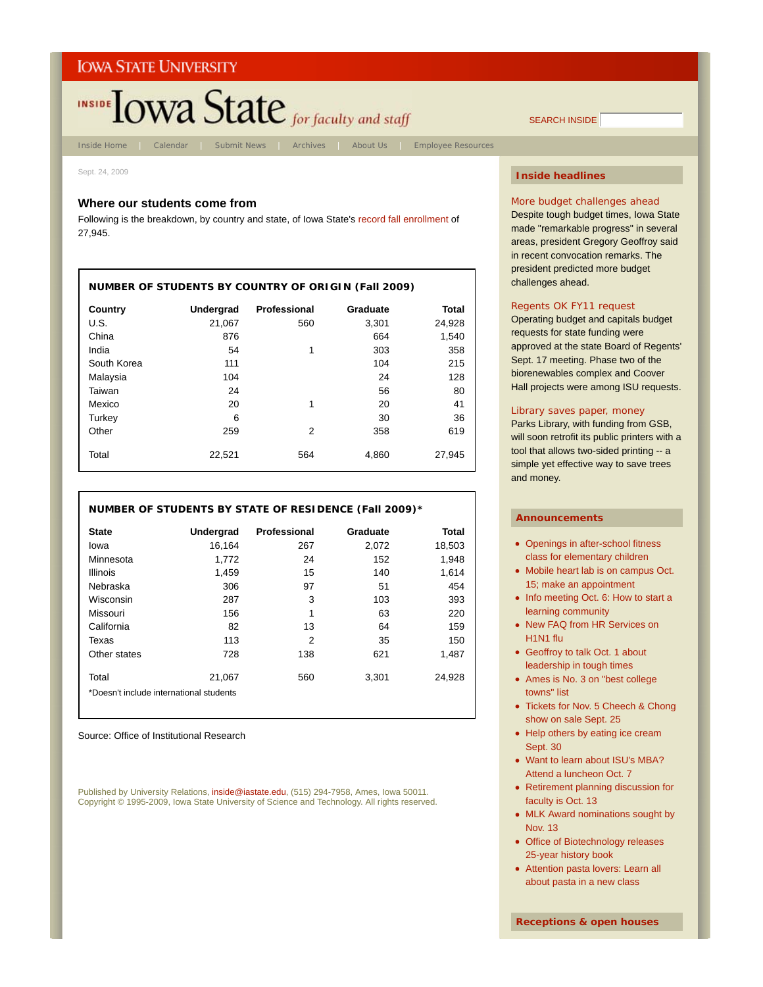

Sept. 24, 2009

# **Where our students come from**

Following is the breakdown, by country and state, of Iowa State's record fall enrollment of 27,945.

| <b>NUMBER OF STUDENTS BY COUNTRY OF ORIGIN (Fall 2009)</b> |           |              |          |        |  |  |
|------------------------------------------------------------|-----------|--------------|----------|--------|--|--|
| Country                                                    | Undergrad | Professional | Graduate | Total  |  |  |
| U.S.                                                       | 21.067    | 560          | 3,301    | 24,928 |  |  |
| China                                                      | 876       |              | 664      | 1,540  |  |  |
| India                                                      | 54        | 1            | 303      | 358    |  |  |
| South Korea                                                | 111       |              | 104      | 215    |  |  |
| Malaysia                                                   | 104       |              | 24       | 128    |  |  |
| Taiwan                                                     | 24        |              | 56       | 80     |  |  |
| Mexico                                                     | 20        | 1            | 20       | 41     |  |  |
| Turkey                                                     | 6         |              | 30       | 36     |  |  |
| Other                                                      | 259       | 2            | 358      | 619    |  |  |
| Total                                                      | 22,521    | 564          | 4,860    | 27.945 |  |  |

# **NUMBER OF STUDENTS BY STATE OF RESIDENCE (Fall 2009)\***

| <b>State</b>                            | <b>Undergrad</b> | Professional | Graduate | Total  |  |  |
|-----------------------------------------|------------------|--------------|----------|--------|--|--|
| lowa                                    | 16,164           | 267          | 2,072    | 18,503 |  |  |
| Minnesota                               | 1.772            | 24           | 152      | 1,948  |  |  |
| <b>Illinois</b>                         | 1,459            | 15           | 140      | 1,614  |  |  |
| Nebraska                                | 306              | 97           | 51       | 454    |  |  |
| Wisconsin                               | 287              | 3            | 103      | 393    |  |  |
| Missouri                                | 156              | 1            | 63       | 220    |  |  |
| California                              | 82               | 13           | 64       | 159    |  |  |
| Texas                                   | 113              | 2            | 35       | 150    |  |  |
| Other states                            | 728              | 138          | 621      | 1.487  |  |  |
| Total                                   | 21,067           | 560          | 3.301    | 24.928 |  |  |
| *Doesn't include international students |                  |              |          |        |  |  |

Source: Office of Institutional Research

Published by University Relations, inside@iastate.edu, (515) 294-7958, Ames, Iowa 50011. Copyright © 1995-2009, Iowa State University of Science and Technology. All rights reserved.

# **Inside headlines**

SEARCH INSIDE

More budget challenges ahead Despite tough budget times, Iowa State made "remarkable progress" in several areas, president Gregory Geoffroy said in recent convocation remarks. The president predicted more budget challenges ahead.

#### Regents OK FY11 request

Operating budget and capitals budget requests for state funding were approved at the state Board of Regents' Sept. 17 meeting. Phase two of the biorenewables complex and Coover Hall projects were among ISU requests.

# Library saves paper, money

Parks Library, with funding from GSB, will soon retrofit its public printers with a tool that allows two-sided printing -- a simple yet effective way to save trees and money.

- Openings in after-school fitness class for elementary children
- Mobile heart lab is on campus Oct. 15; make an appointment
- Info meeting Oct. 6: How to start a learning community
- New FAQ from HR Services on H1N1 flu
- Geoffroy to talk Oct. 1 about leadership in tough times
- Ames is No. 3 on "best college towns" list
- Tickets for Nov. 5 Cheech & Chong show on sale Sept. 25
- Help others by eating ice cream Sept. 30
- Want to learn about ISU's MBA? Attend a luncheon Oct. 7
- Retirement planning discussion for faculty is Oct. 13
- MLK Award nominations sought by Nov. 13
- Office of Biotechnology releases 25-year history book
- Attention pasta lovers: Learn all about pasta in a new class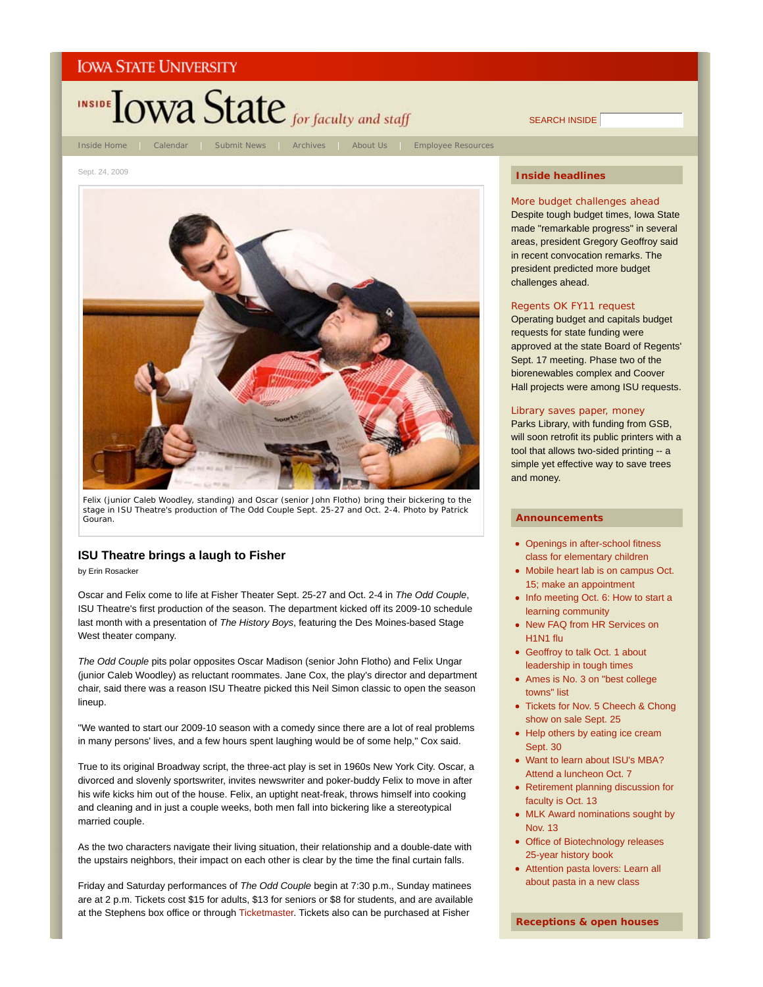

SEARCH INSIDE

Sept. 24, 2009



Felix (junior Caleb Woodley, standing) and Oscar (senior John Flotho) bring their bickering to the stage in ISU Theatre's production of *The Odd Couple* Sept. 25-27 and Oct. 2-4. *Photo by Patrick Gouran*.

# **ISU Theatre brings a laugh to Fisher**

by Erin Rosacker

Oscar and Felix come to life at Fisher Theater Sept. 25-27 and Oct. 2-4 in *The Odd Couple*, ISU Theatre's first production of the season. The department kicked off its 2009-10 schedule last month with a presentation of *The History Boys*, featuring the Des Moines-based Stage West theater company.

*The Odd Couple* pits polar opposites Oscar Madison (senior John Flotho) and Felix Ungar (junior Caleb Woodley) as reluctant roommates. Jane Cox, the play's director and department chair, said there was a reason ISU Theatre picked this Neil Simon classic to open the season lineup.

"We wanted to start our 2009-10 season with a comedy since there are a lot of real problems in many persons' lives, and a few hours spent laughing would be of some help," Cox said.

True to its original Broadway script, the three-act play is set in 1960s New York City. Oscar, a divorced and slovenly sportswriter, invites newswriter and poker-buddy Felix to move in after his wife kicks him out of the house. Felix, an uptight neat-freak, throws himself into cooking and cleaning and in just a couple weeks, both men fall into bickering like a stereotypical married couple.

As the two characters navigate their living situation, their relationship and a double-date with the upstairs neighbors, their impact on each other is clear by the time the final curtain falls.

Friday and Saturday performances of *The Odd Couple* begin at 7:30 p.m., Sunday matinees are at 2 p.m. Tickets cost \$15 for adults, \$13 for seniors or \$8 for students, and are available at the Stephens box office or through Ticketmaster. Tickets also can be purchased at Fisher

# **Inside headlines**

More budget challenges ahead Despite tough budget times, Iowa State made "remarkable progress" in several areas, president Gregory Geoffroy said in recent convocation remarks. The president predicted more budget challenges ahead.

#### Regents OK FY11 request

Operating budget and capitals budget requests for state funding were approved at the state Board of Regents' Sept. 17 meeting. Phase two of the biorenewables complex and Coover Hall projects were among ISU requests.

# Library saves paper, money

Parks Library, with funding from GSB, will soon retrofit its public printers with a tool that allows two-sided printing -- a simple yet effective way to save trees and money.

- Openings in after-school fitness class for elementary children
- Mobile heart lab is on campus Oct. 15; make an appointment
- Info meeting Oct. 6: How to start a learning community
- New FAQ from HR Services on H1N1 flu
- Geoffroy to talk Oct. 1 about leadership in tough times
- Ames is No. 3 on "best college towns" list
- Tickets for Nov. 5 Cheech & Chong show on sale Sept. 25
- Help others by eating ice cream Sept. 30
- Want to learn about ISU's MBA? Attend a luncheon Oct. 7
- Retirement planning discussion for faculty is Oct. 13
- MLK Award nominations sought by Nov. 13
- Office of Biotechnology releases 25-year history book
- Attention pasta lovers: Learn all about pasta in a new class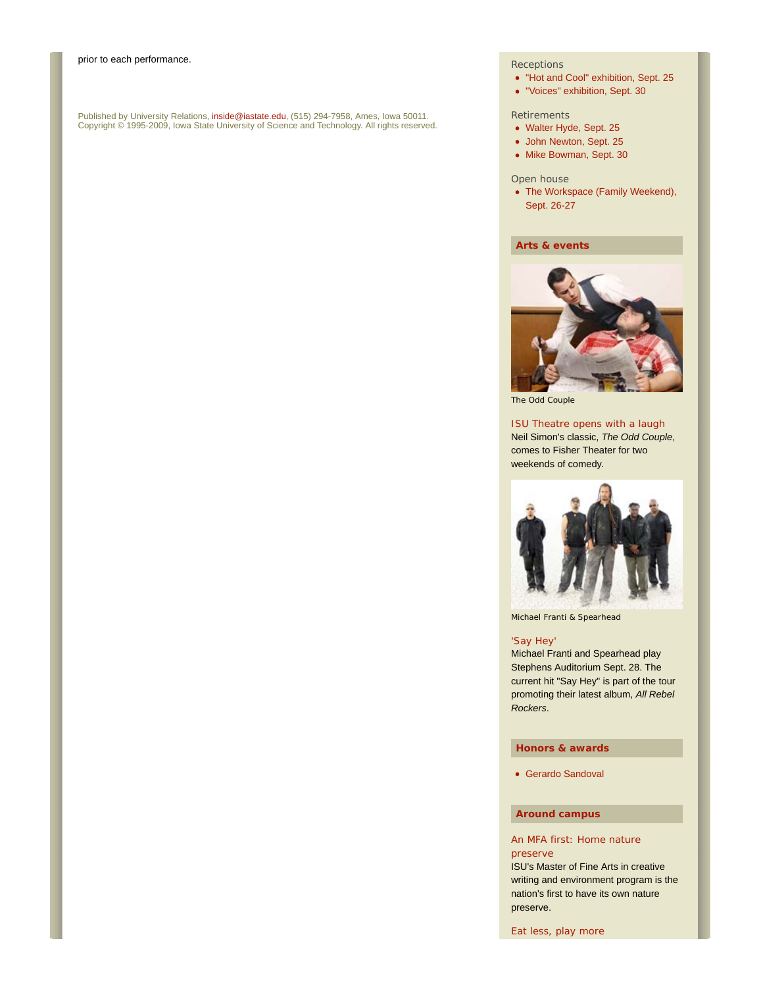Published by University Relations, i**nside@iastate.edu**, (515) 294-7958, Ames, Iowa 50011.<br>Copyright © 1995-2009, Iowa State University of Science and Technology. All rights reserved.

#### **Receptions**

- "Hot and Cool" exhibition, Sept. 25
- "Voices" exhibition, Sept. 30

### **Retirements**

- Walter Hyde, Sept. 25
- John Newton, Sept. 25
- Mike Bowman, Sept. 30

#### Open house

• The Workspace (Family Weekend), Sept. 26-27

# **Arts & events**



*The Odd Couple*

# ISU Theatre opens with a laugh

Neil Simon's classic, *The Odd Couple*, comes to Fisher Theater for two weekends of comedy.



Michael Franti & Spearhead

#### 'Say Hey'

Michael Franti and Spearhead play Stephens Auditorium Sept. 28. The current hit "Say Hey" is part of the tour promoting their latest album, *All Rebel Rockers*.

#### **Honors & awards**

Gerardo Sandoval

# **Around campus**

# An MFA first: Home nature preserve

ISU's Master of Fine Arts in creative writing and environment program is the nation's first to have its own nature preserve.

Eat less, play more